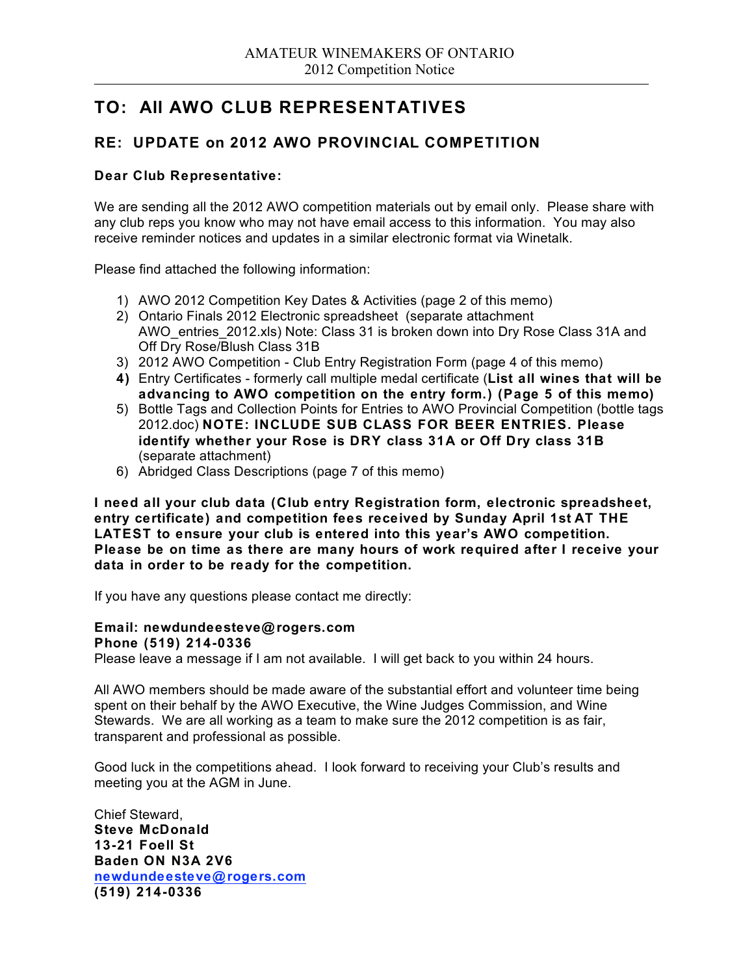## **TO: All AWO CLUB REPRESENTATIVES**

### **RE: UPDATE on 2012 AWO PROVINCIAL COMPETITION**

### **Dear Club Representative:**

We are sending all the 2012 AWO competition materials out by email only. Please share with any club reps you know who may not have email access to this information. You may also receive reminder notices and updates in a similar electronic format via Winetalk.

Please find attached the following information:

- 1) AWO 2012 Competition Key Dates & Activities (page 2 of this memo)
- 2) Ontario Finals 2012 Electronic spreadsheet (separate attachment AWO\_entries\_2012.xls) Note: Class 31 is broken down into Dry Rose Class 31A and Off Dry Rose/Blush Class 31B
- 3) 2012 AWO Competition Club Entry Registration Form (page 4 of this memo)
- **4)** Entry Certificates formerly call multiple medal certificate (**List all wines that will be advancing to AWO competition on the entry form.) (Page 5 of this memo)**
- 5) Bottle Tags and Collection Points for Entries to AWO Provincial Competition (bottle tags 2012.doc) **NOTE: INCLUDE SUB CLASS FOR BEER ENTRIES. Please identify whether your Rose is DRY class 31A or Off Dry class 31B**  (separate attachment)
- 6) Abridged Class Descriptions (page 7 of this memo)

**I need all your club data (Club entry Registration form, electronic spreadsheet, entry certificate) and competition fees received by Sunday April 1st AT THE LATEST to ensure your club is entered into this year's AWO competition. Please be on time as there are many hours of work required after I receive your data in order to be ready for the competition.**

If you have any questions please contact me directly:

### **Email: newdundeesteve@ rogers.com**

### **Phone (519) 214-0336**

Please leave a message if I am not available. I will get back to you within 24 hours.

All AWO members should be made aware of the substantial effort and volunteer time being spent on their behalf by the AWO Executive, the Wine Judges Commission, and Wine Stewards. We are all working as a team to make sure the 2012 competition is as fair, transparent and professional as possible.

Good luck in the competitions ahead. I look forward to receiving your Club's results and meeting you at the AGM in June.

Chief Steward, **Steve McDonald 13-21 Foell St Baden ON N3A 2V6 newdundeesteve@ rogers.com (519) 214-0336**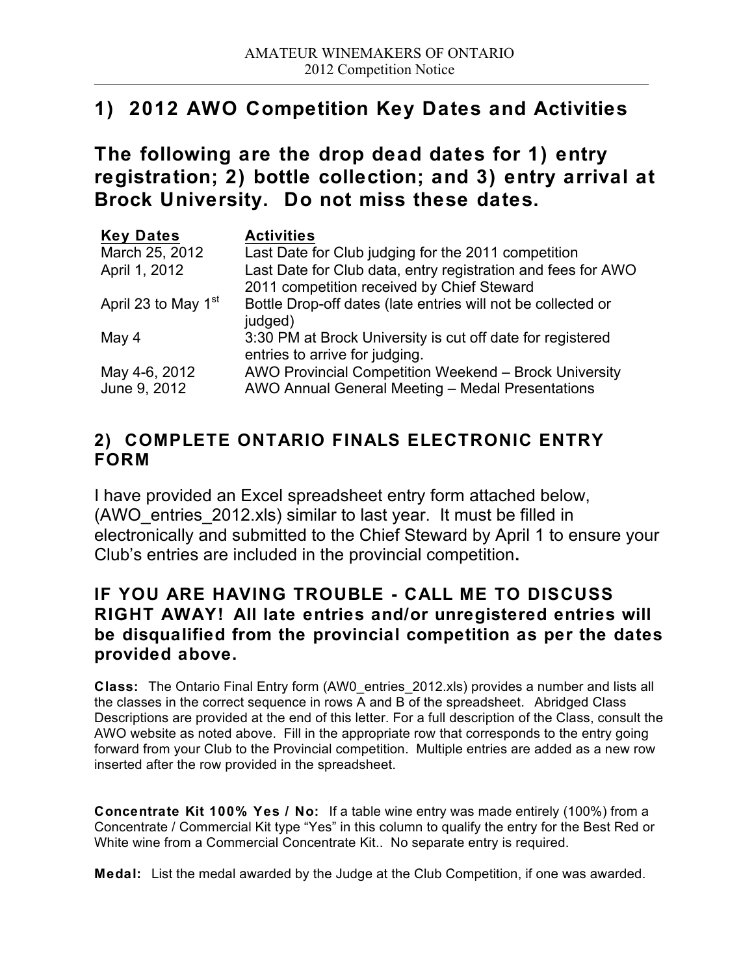# **1) 2012 AWO Competition Key Dates and Activities**

**The following are the drop dead dates for 1) entry registration; 2) bottle collection; and 3) entry arrival at Brock University. Do not miss these dates.**

| <b>Key Dates</b>                | <b>Activities</b>                                                                                          |
|---------------------------------|------------------------------------------------------------------------------------------------------------|
| March 25, 2012                  | Last Date for Club judging for the 2011 competition                                                        |
| April 1, 2012                   | Last Date for Club data, entry registration and fees for AWO<br>2011 competition received by Chief Steward |
| April 23 to May 1 <sup>st</sup> | Bottle Drop-off dates (late entries will not be collected or<br>judged)                                    |
| May 4                           | 3:30 PM at Brock University is cut off date for registered<br>entries to arrive for judging.               |
| May 4-6, 2012<br>June 9, 2012   | AWO Provincial Competition Weekend - Brock University<br>AWO Annual General Meeting - Medal Presentations  |

## **2) COMPLETE ONTARIO FINALS ELECTRONIC ENTRY FORM**

I have provided an Excel spreadsheet entry form attached below, (AWO\_entries\_2012.xls) similar to last year. It must be filled in electronically and submitted to the Chief Steward by April 1 to ensure your Club's entries are included in the provincial competition**.**

### **IF YOU ARE HAVING TROUBLE - CALL ME TO DISCUSS RIGHT AWAY! All late entries and/or unregistered entries will be disqualified from the provincial competition as per the dates provided above.**

**Class:** The Ontario Final Entry form (AW0\_entries\_2012.xls) provides a number and lists all the classes in the correct sequence in rows A and B of the spreadsheet.Abridged Class Descriptions are provided at the end of this letter. For a full description of the Class, consult the AWO website as noted above. Fill in the appropriate row that corresponds to the entry going forward from your Club to the Provincial competition. Multiple entries are added as a new row inserted after the row provided in the spreadsheet.

**Concentrate Kit 100% Yes / No:** If a table wine entry was made entirely (100%) from a Concentrate / Commercial Kit type "Yes" in this column to qualify the entry for the Best Red or White wine from a Commercial Concentrate Kit.. No separate entry is required.

**Medal:** List the medal awarded by the Judge at the Club Competition, if one was awarded.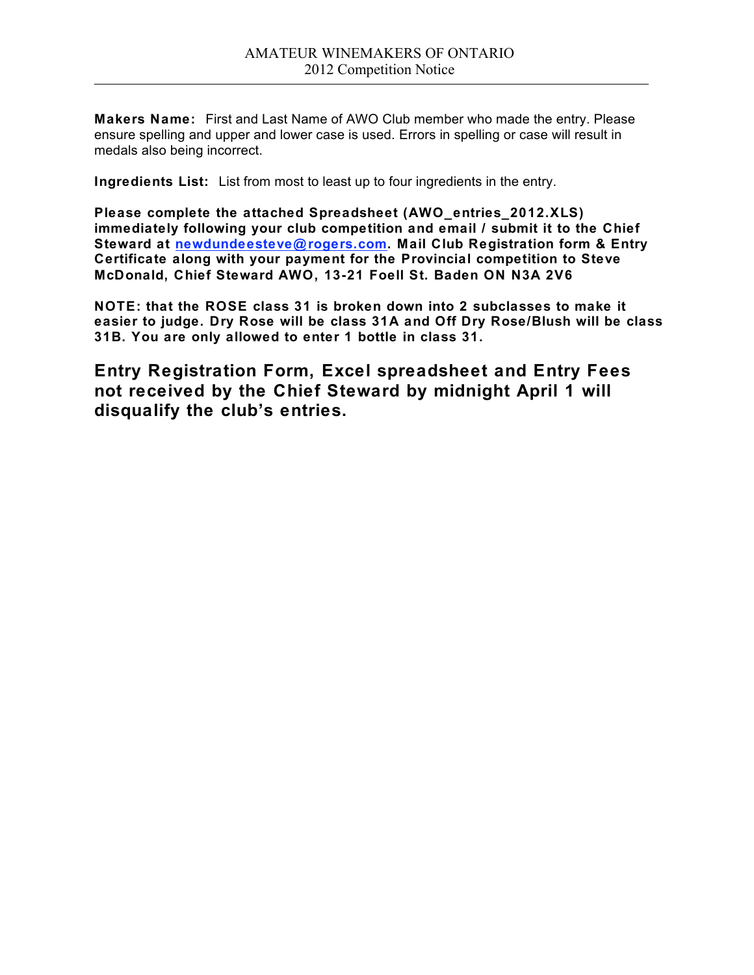**Makers Name:** First and Last Name of AWO Club member who made the entry. Please ensure spelling and upper and lower case is used. Errors in spelling or case will result in medals also being incorrect.

**Ingredients List:** List from most to least up to four ingredients in the entry.

**Please complete the attached Spreadsheet (AWO\_entries\_2012.XLS) immediately following your club competition and email / submit it to the Chief Steward at newdundeesteve@ rogers.com. Mail Club Registration form & Entry Certificate along with your payment for the Provincial competition to Steve McDonald, Chief Steward AWO, 13-21 Foell St. Baden ON N3A 2V6**

**NOTE: that the ROSE class 31 is broken down into 2 subclasses to make it easier to judge. Dry Rose will be class 31A and Off Dry Rose/Blush will be class 31B. You are only allowed to enter 1 bottle in class 31.**

**Entry Registration Form, Excel spreadsheet and Entry Fees not received by the Chief Steward by midnight April 1 will disqualify the club's entries.**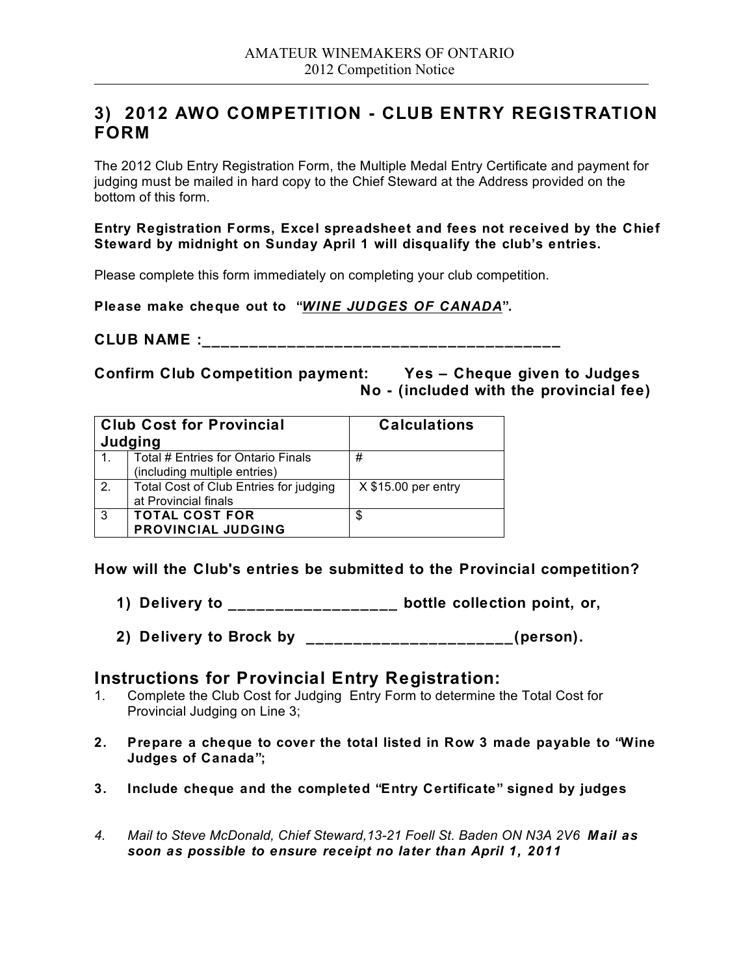### **3) 2012 AWO COMPETITION - CLUB ENTRY REGISTRATION FORM**

The 2012 Club Entry Registration Form, the Multiple Medal Entry Certificate and payment for judging must be mailed in hard copy to the Chief Steward at the Address provided on the bottom of this form.

### **Entry Registration Forms, Excel spreadsheet and fees not received by the Chief Steward by midnight on Sunday April 1 will disqualify the club's entries.**

Please complete this form immediately on completing your club competition.

**Please make cheque out to "***WINE JUDGES OF CANADA***".** 

**CLUB NAME :\_\_\_\_\_\_\_\_\_\_\_\_\_\_\_\_\_\_\_\_\_\_\_\_\_\_\_\_\_\_\_\_\_\_\_\_\_\_**

**Confirm Club Competition payment: Yes – Cheque given to Judges No - (included with the provincial fee)**

| <b>Club Cost for Provincial</b><br>Judging |                                                                    | <b>Calculations</b>  |
|--------------------------------------------|--------------------------------------------------------------------|----------------------|
|                                            | Total # Entries for Ontario Finals<br>(including multiple entries) | #                    |
| 2.                                         | Total Cost of Club Entries for judging<br>at Provincial finals     | $X $15.00$ per entry |
| 3                                          | <b>TOTAL COST FOR</b><br>PROVINCIAL JUDGING                        | \$                   |

**How will the Club's entries be submitted to the Provincial competition?**

- **1) Delivery to \_\_\_\_\_\_\_\_\_\_\_\_\_\_\_\_\_\_ bottle collection point, or,**
- **2) Delivery to Brock by \_\_\_\_\_\_\_\_\_\_\_\_\_\_\_\_\_\_\_\_\_\_(person).**

### **Instructions for Provincial Entry Registration:**

- 1. Complete the Club Cost for Judging Entry Form to determine the Total Cost for Provincial Judging on Line 3;
- **2. Prepare a cheque to cover the total listed in Row 3 made payable to "Wine Judges of Canada";**
- **3. Include cheque and the completed "Entry Certificate" signed by judges**
- *4. Mail to Steve McDonald, Chief Steward,13-21 Foell St. Baden ON N3A 2V6 Mail as soon as possible to ensure receipt no later than April 1, 2011*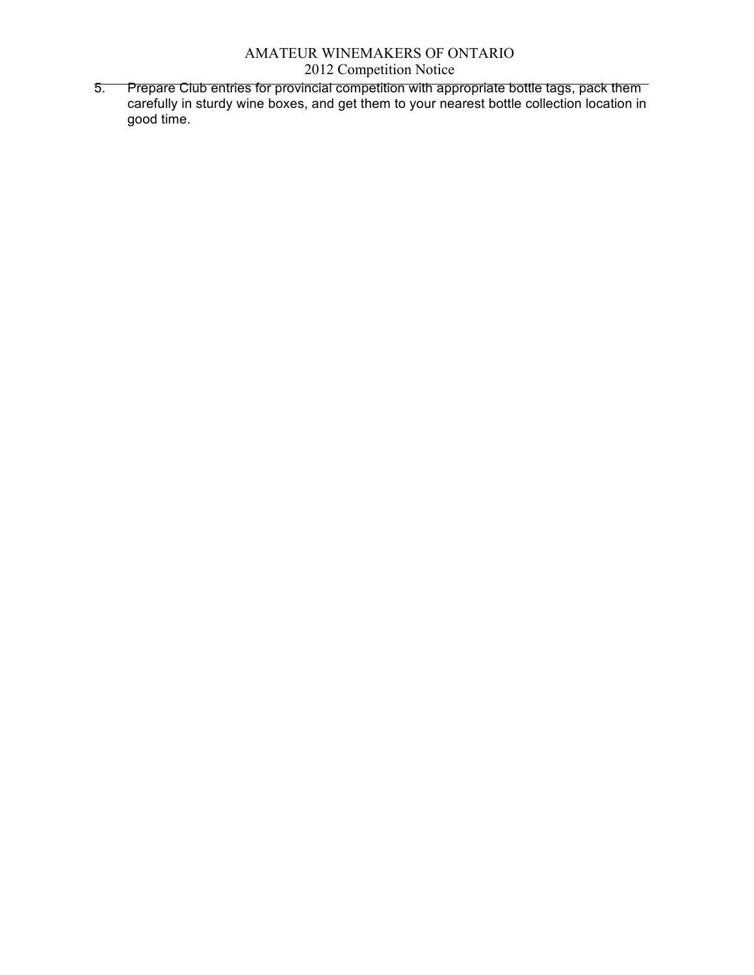5. Prepare Club entries for provincial competition with appropriate bottle tags, pack them carefully in sturdy wine boxes, and get them to your nearest bottle collection location in good time.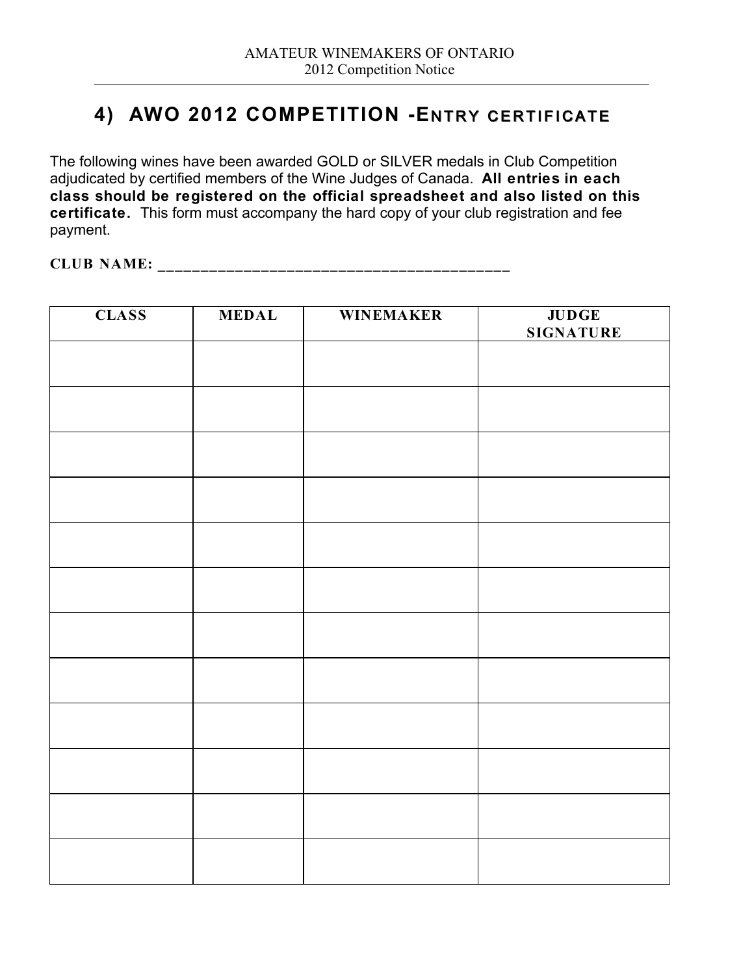## **4) AWO 2012 COMPETITION -ENTRY CERTIFICATE**

The following wines have been awarded GOLD or SILVER medals in Club Competition adjudicated by certified members of the Wine Judges of Canada. **All entries in each class should be registered on the official spreadsheet and also listed on this certificate.** This form must accompany the hard copy of your club registration and fee payment.

**CLUB NAME: \_\_\_\_\_\_\_\_\_\_\_\_\_\_\_\_\_\_\_\_\_\_\_\_\_\_\_\_\_\_\_\_\_\_\_\_\_\_\_\_\_**

| <b>CLASS</b> | <b>MEDAL</b> | <b>WINEMAKER</b> | <b>JUDGE</b><br><b>SIGNATURE</b> |
|--------------|--------------|------------------|----------------------------------|
|              |              |                  |                                  |
|              |              |                  |                                  |
|              |              |                  |                                  |
|              |              |                  |                                  |
|              |              |                  |                                  |
|              |              |                  |                                  |
|              |              |                  |                                  |
|              |              |                  |                                  |
|              |              |                  |                                  |
|              |              |                  |                                  |
|              |              |                  |                                  |
|              |              |                  |                                  |
|              |              |                  |                                  |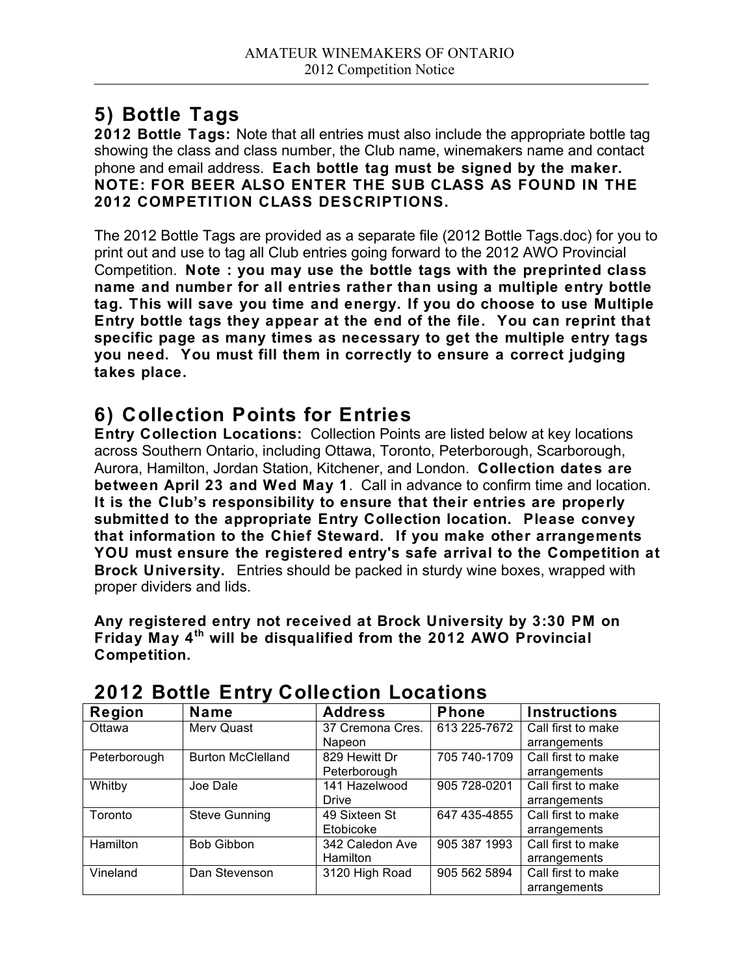# **5) Bottle Tags**

**2012 Bottle Tags:** Note that all entries must also include the appropriate bottle tag showing the class and class number, the Club name, winemakers name and contact phone and email address. **Each bottle tag must be signed by the maker. NOTE: FOR BEER ALSO ENTER THE SUB CLASS AS FOUND IN THE 2012 COMPETITION CLASS DESCRIPTIONS.**

The 2012 Bottle Tags are provided as a separate file (2012 Bottle Tags.doc) for you to print out and use to tag all Club entries going forward to the 2012 AWO Provincial Competition. **Note : you may use the bottle tags with the preprinted class name and number for all entries rather than using a multiple entry bottle tag. This will save you time and energy. If you do choose to use Multiple Entry bottle tags they appear at the end of the file. You can reprint that specific page as many times as necessary to get the multiple entry tags you need. You must fill them in correctly to ensure a correct judging takes place.**

# **6) Collection Points for Entries**

**Entry Collection Locations:** Collection Points are listed below at key locations across Southern Ontario, including Ottawa, Toronto, Peterborough, Scarborough, Aurora, Hamilton, Jordan Station, Kitchener, and London. **Collection dates are between April 23 and Wed May 1**. Call in advance to confirm time and location. **It is the Club's responsibility to ensure that their entries are properly submitted to the appropriate Entry Collection location. Please convey that information to the Chief Steward. If you make other arrangements YOU must ensure the registered entry's safe arrival to the Competition at Brock University.** Entries should be packed in sturdy wine boxes, wrapped with proper dividers and lids.

**Any registered entry not received at Brock University by 3:30 PM on Friday May 4th will be disqualified from the 2012 AWO Provincial Competition.**

| <b>Region</b>   | <b>Name</b>              | <b>Address</b>   | <b>Phone</b> | <b>Instructions</b> |
|-----------------|--------------------------|------------------|--------------|---------------------|
| Ottawa          | Merv Quast               | 37 Cremona Cres. | 613 225-7672 | Call first to make  |
|                 |                          | Napeon           |              | arrangements        |
| Peterborough    | <b>Burton McClelland</b> | 829 Hewitt Dr    | 705 740-1709 | Call first to make  |
|                 |                          | Peterborough     |              | arrangements        |
| Whitby          | Joe Dale                 | 141 Hazelwood    | 905 728-0201 | Call first to make  |
|                 |                          | <b>Drive</b>     |              | arrangements        |
| Toronto         | <b>Steve Gunning</b>     | 49 Sixteen St    | 647 435-4855 | Call first to make  |
|                 |                          | Etobicoke        |              | arrangements        |
| <b>Hamilton</b> | <b>Bob Gibbon</b>        | 342 Caledon Ave  | 905 387 1993 | Call first to make  |
|                 |                          | Hamilton         |              | arrangements        |
| Vineland        | Dan Stevenson            | 3120 High Road   | 905 562 5894 | Call first to make  |
|                 |                          |                  |              | arrangements        |

## **2012 Bottle Entry Collection Locations**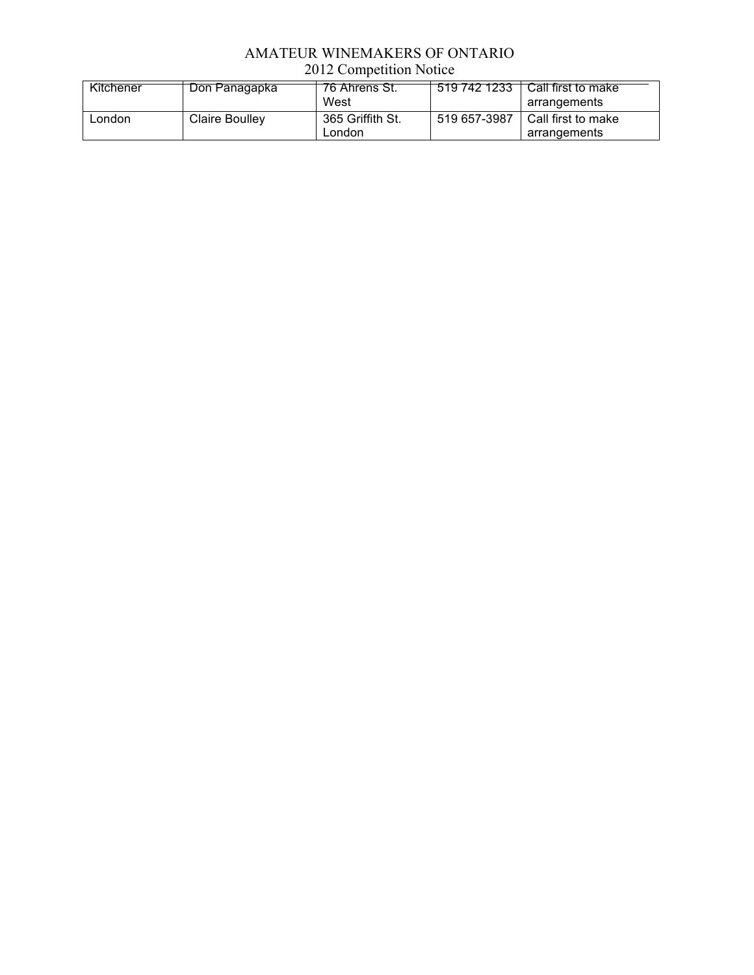### AMATEUR WINEMAKERS OF ONTARIO 2012 Competition Notice

| Kitchener | Don Panagapka  | 76 Ahrens St.<br>West      | 519 742 1233 | Call first to make<br>arrangements |
|-----------|----------------|----------------------------|--------------|------------------------------------|
| _ondon    | Claire Boulley | 365 Griffith St.<br>∟ondon | 519 657-3987 | Call first to make<br>arrangements |